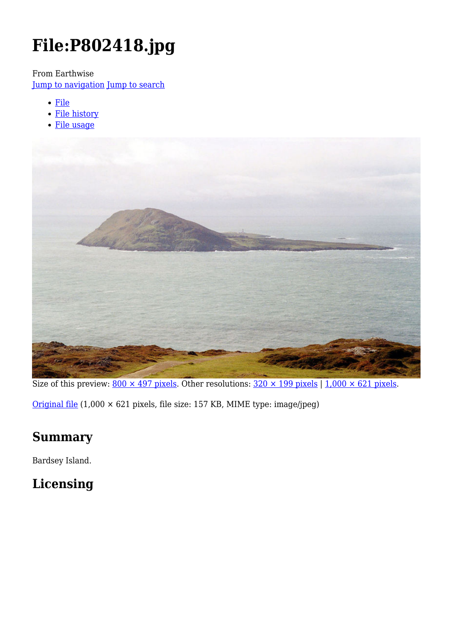# **File:P802418.jpg**

From Earthwise

[Jump to navigation](#page--1-0) [Jump to search](#page--1-0)

- [File](#page--1-0)
- [File history](#page--1-0)
- [File usage](#page--1-0)



Size of this preview:  $800 \times 497$  pixels. Other resolutions:  $320 \times 199$  pixels | 1,000  $\times$  621 pixels.

[Original file](http://earthwise.bgs.ac.uk/images/2/2b/P802418.jpg) (1,000 × 621 pixels, file size: 157 KB, MIME type: image/jpeg)

# **Summary**

Bardsey Island.

# **Licensing**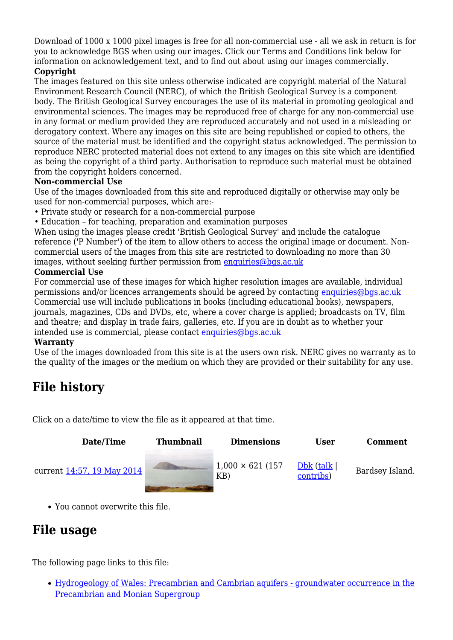Download of 1000 x 1000 pixel images is free for all non-commercial use - all we ask in return is for you to acknowledge BGS when using our images. Click our Terms and Conditions link below for information on acknowledgement text, and to find out about using our images commercially.

#### **Copyright**

The images featured on this site unless otherwise indicated are copyright material of the Natural Environment Research Council (NERC), of which the British Geological Survey is a component body. The British Geological Survey encourages the use of its material in promoting geological and environmental sciences. The images may be reproduced free of charge for any non-commercial use in any format or medium provided they are reproduced accurately and not used in a misleading or derogatory context. Where any images on this site are being republished or copied to others, the source of the material must be identified and the copyright status acknowledged. The permission to reproduce NERC protected material does not extend to any images on this site which are identified as being the copyright of a third party. Authorisation to reproduce such material must be obtained from the copyright holders concerned.

#### **Non-commercial Use**

Use of the images downloaded from this site and reproduced digitally or otherwise may only be used for non-commercial purposes, which are:-

- Private study or research for a non-commercial purpose
- Education for teaching, preparation and examination purposes

When using the images please credit 'British Geological Survey' and include the catalogue reference ('P Number') of the item to allow others to access the original image or document. Noncommercial users of the images from this site are restricted to downloading no more than 30 images, without seeking further permission from [enquiries@bgs.ac.uk](mailto:enquiries@bgs.ac.uk)

#### **Commercial Use**

For commercial use of these images for which higher resolution images are available, individual permissions and/or licences arrangements should be agreed by contacting [enquiries@bgs.ac.uk](mailto:enquiries@bgs.ac.uk) Commercial use will include publications in books (including educational books), newspapers, journals, magazines, CDs and DVDs, etc, where a cover charge is applied; broadcasts on TV, film and theatre; and display in trade fairs, galleries, etc. If you are in doubt as to whether your intended use is commercial, please contact [enquiries@bgs.ac.uk](mailto:enquiries@bgs.ac.uk)

#### **Warranty**

Use of the images downloaded from this site is at the users own risk. NERC gives no warranty as to the quality of the images or the medium on which they are provided or their suitability for any use.

# **File history**

Click on a date/time to view the file as it appeared at that time.

| Date/Time                  | <b>Thumbnail</b> | <b>Dimensions</b>               | User                       | <b>Comment</b>  |
|----------------------------|------------------|---------------------------------|----------------------------|-----------------|
| current 14:57, 19 May 2014 |                  | $1,000 \times 621$ (157)<br>KB) | $Dbk$ (talk  <br>contribs) | Bardsey Island. |
|                            |                  |                                 |                            |                 |

You cannot overwrite this file.

# **File usage**

The following page links to this file:

[Hydrogeology of Wales: Precambrian and Cambrian aquifers - groundwater occurrence in the](http://earthwise.bgs.ac.uk/index.php/Hydrogeology_of_Wales:_Precambrian_and_Cambrian_aquifers_-_groundwater_occurrence_in_the_Precambrian_and_Monian_Supergroup) [Precambrian and Monian Supergroup](http://earthwise.bgs.ac.uk/index.php/Hydrogeology_of_Wales:_Precambrian_and_Cambrian_aquifers_-_groundwater_occurrence_in_the_Precambrian_and_Monian_Supergroup)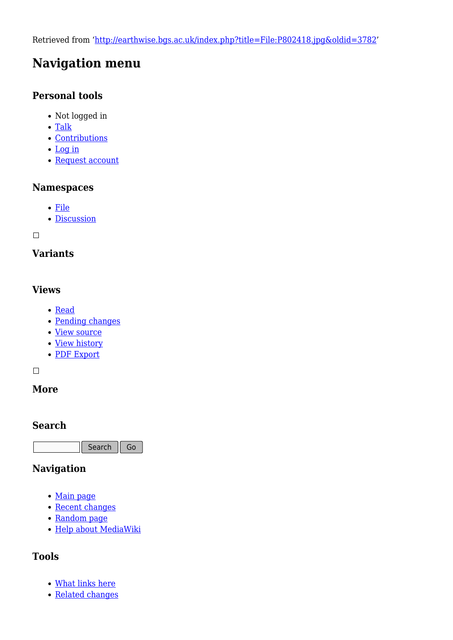Retrieved from ['http://earthwise.bgs.ac.uk/index.php?title=File:P802418.jpg&oldid=3782](http://earthwise.bgs.ac.uk/index.php?title=File:P802418.jpg&oldid=3782)'

# **Navigation menu**

### **Personal tools**

- Not logged in
- [Talk](http://earthwise.bgs.ac.uk/index.php/Special:MyTalk)
- [Contributions](http://earthwise.bgs.ac.uk/index.php/Special:MyContributions)
- [Log in](http://earthwise.bgs.ac.uk/index.php?title=Special:UserLogin&returnto=File%3AP802418.jpg&returntoquery=action%3Dmpdf)
- [Request account](http://earthwise.bgs.ac.uk/index.php/Special:RequestAccount)

#### **Namespaces**

- [File](http://earthwise.bgs.ac.uk/index.php/File:P802418.jpg)
- [Discussion](http://earthwise.bgs.ac.uk/index.php?title=File_talk:P802418.jpg&action=edit&redlink=1)

 $\Box$ 

### **Variants**

### **Views**

- [Read](http://earthwise.bgs.ac.uk/index.php?title=File:P802418.jpg&stable=1)
- [Pending changes](http://earthwise.bgs.ac.uk/index.php?title=File:P802418.jpg&stable=0&redirect=no)
- [View source](http://earthwise.bgs.ac.uk/index.php?title=File:P802418.jpg&action=edit)
- [View history](http://earthwise.bgs.ac.uk/index.php?title=File:P802418.jpg&action=history)
- [PDF Export](http://earthwise.bgs.ac.uk/index.php?title=File:P802418.jpg&action=mpdf)

 $\Box$ 

### **More**

### **Search**

Search Go

### **Navigation**

- [Main page](http://earthwise.bgs.ac.uk/index.php/Main_Page)
- [Recent changes](http://earthwise.bgs.ac.uk/index.php/Special:RecentChanges)
- [Random page](http://earthwise.bgs.ac.uk/index.php/Special:Random)
- [Help about MediaWiki](https://www.mediawiki.org/wiki/Special:MyLanguage/Help:Contents)

### **Tools**

- [What links here](http://earthwise.bgs.ac.uk/index.php/Special:WhatLinksHere/File:P802418.jpg)
- [Related changes](http://earthwise.bgs.ac.uk/index.php/Special:RecentChangesLinked/File:P802418.jpg)